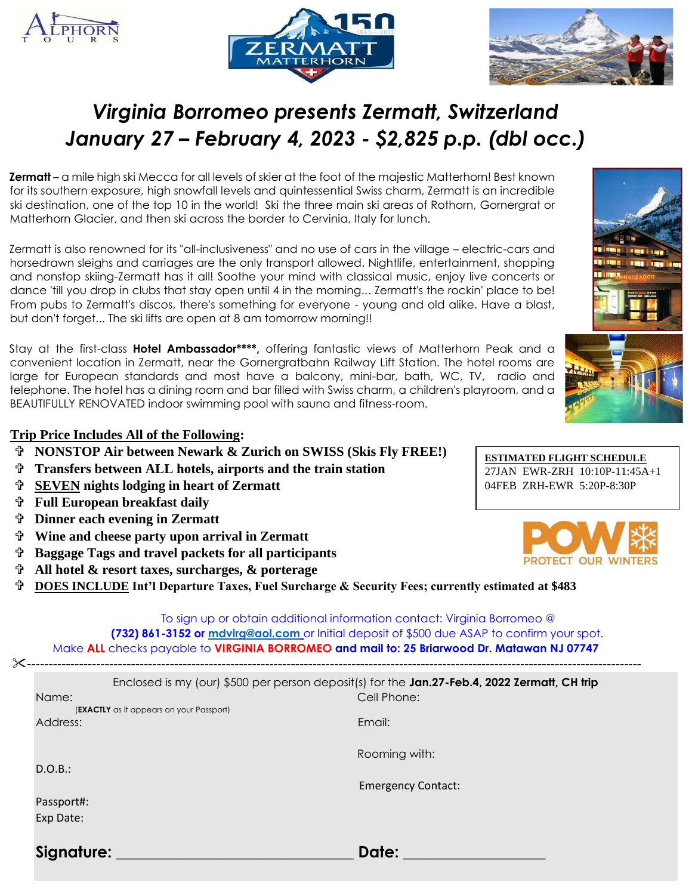





# *Virginia Borromeo presents Zermatt, Switzerland January 27 – February 4, 2023 - \$2,825 p.p. (dbl occ.)*

**Zermatt** – a mile high ski Mecca for all levels of skier at the foot of the majestic Matterhorn! Best known for its southern exposure, high snowfall levels and quintessential Swiss charm, Zermatt is an incredible ski destination, one of the top 10 in the world! Ski the three main ski areas of Rothorn, Gornergrat or Matterhorn Glacier, and then ski across the border to Cervinia, Italy for lunch.

Zermatt is also renowned for its "all-inclusiveness" and no use of cars in the village – electric-cars and horsedrawn sleighs and carriages are the only transport allowed. Nightlife, entertainment, shopping and nonstop skiing-Zermatt has it all! Soothe your mind with classical music, enjoy live concerts or dance 'till you drop in clubs that stay open until 4 in the morning... Zermatt's the rockin' place to be! From pubs to Zermatt's discos, there's something for everyone - young and old alike. Have a blast, but don't forget... The ski lifts are open at 8 am tomorrow morning!!

Stay at the first-class **Hotel Ambassador\*\*\*\*,** offering fantastic views of Matterhorn Peak and a convenient location in Zermatt, near the Gornergratbahn Railway Lift Station. The hotel rooms are large for European standards and most have a balcony, mini-bar, bath, WC, TV, radio and telephone. The hotel has a dining room and bar filled with Swiss charm, a children's playroom, and a BEAUTIFULLY RENOVATED indoor swimming pool with sauna and fitness-room.

## **Trip Price Includes All of the Following:**

- **NONSTOP Air between Newark & Zurich on SWISS (Skis Fly FREE!)**
- **Transfers between ALL hotels, airports and the train station**
- **SEVEN nights lodging in heart of Zermatt**
- **Full European breakfast daily**
- **Dinner each evening in Zermatt**
- **Wine and cheese party upon arrival in Zermatt**
- **Baggage Tags and travel packets for all participants**
- **All hotel & resort taxes, surcharges, & porterage**

**DOES INCLUDE Int'l Departure Taxes, Fuel Surcharge & Security Fees; currently estimated at \$483**

To sign up or obtain additional information contact: Virginia Borromeo @ **(732) 861-3152 or [mdvirg@aol.com](mailto:mdvirg@aol.com)** or Initial deposit of \$500 due ASAP to confirm your spot. Make **ALL** checks payable to **VIRGINIA BORROMEO and mail to: 25 Briarwood Dr. Matawan NJ 07747** 

| $\times$ . |                                                      |                                                                                                             |
|------------|------------------------------------------------------|-------------------------------------------------------------------------------------------------------------|
|            | Name:                                                | Enclosed is my (our) \$500 per person deposit(s) for the Jan.27-Feb.4, 2022 Zermatt, CH trip<br>Cell Phone: |
|            | (EXACTLY as it appears on your Passport)<br>Address: | Email:                                                                                                      |
|            | D.O.B.:                                              | Rooming with:                                                                                               |
|            |                                                      | <b>Emergency Contact:</b>                                                                                   |
|            | Passport#:                                           |                                                                                                             |
|            | Exp Date:                                            |                                                                                                             |
|            | Signature:                                           | Date:                                                                                                       |

**ESTIMATED FLIGHT SCHEDULE** 27JAN EWR-ZRH 10:10P-11:45A+1 04FEB ZRH-EWR 5:20P-8:30P